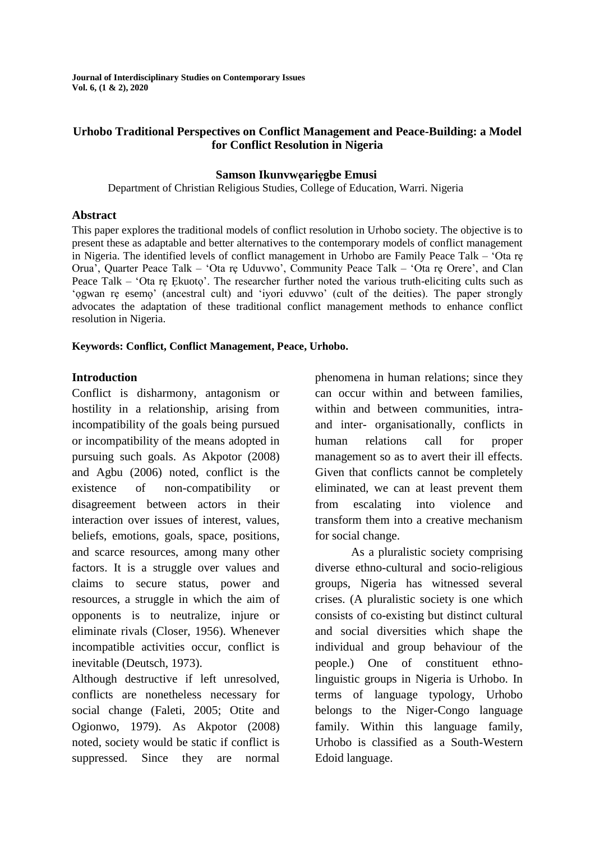**Journal of Interdisciplinary Studies on Contemporary Issues Vol. 6, (1 & 2), 2020**

### **Urhobo Traditional Perspectives on Conflict Management and Peace-Building: a Model for Conflict Resolution in Nigeria**

#### **Samson Ikunvwẹariẹgbe Emusi**

Department of Christian Religious Studies, College of Education, Warri. Nigeria

#### **Abstract**

This paper explores the traditional models of conflict resolution in Urhobo society. The objective is to present these as adaptable and better alternatives to the contemporary models of conflict management in Nigeria. The identified levels of conflict management in Urhobo are Family Peace Talk – 'Ota rẹ Orua', Quarter Peace Talk – 'Ota rẹ Uduvwo', Community Peace Talk – 'Ota rẹ Orere', and Clan Peace Talk – 'Ota re Ekuoto'. The researcher further noted the various truth-eliciting cults such as 'ọgwan rẹ esemọ' (ancestral cult) and 'iyori eduvwo' (cult of the deities). The paper strongly advocates the adaptation of these traditional conflict management methods to enhance conflict resolution in Nigeria.

#### **Keywords: Conflict, Conflict Management, Peace, Urhobo.**

#### **Introduction**

Conflict is disharmony, antagonism or hostility in a relationship, arising from incompatibility of the goals being pursued or incompatibility of the means adopted in pursuing such goals. As Akpotor (2008) and Agbu (2006) noted, conflict is the existence of non-compatibility or disagreement between actors in their interaction over issues of interest, values, beliefs, emotions, goals, space, positions, and scarce resources, among many other factors. It is a struggle over values and claims to secure status, power and resources, a struggle in which the aim of opponents is to neutralize, injure or eliminate rivals (Closer, 1956). Whenever incompatible activities occur, conflict is inevitable (Deutsch, 1973).

Although destructive if left unresolved, conflicts are nonetheless necessary for social change (Faleti, 2005; Otite and Ogionwo, 1979). As Akpotor (2008) noted, society would be static if conflict is suppressed. Since they are normal

phenomena in human relations; since they can occur within and between families, within and between communities, intraand inter- organisationally, conflicts in human relations call for proper management so as to avert their ill effects. Given that conflicts cannot be completely eliminated, we can at least prevent them from escalating into violence and transform them into a creative mechanism for social change.

As a pluralistic society comprising diverse ethno-cultural and socio-religious groups, Nigeria has witnessed several crises. (A pluralistic society is one which consists of co-existing but distinct cultural and social diversities which shape the individual and group behaviour of the people.) One of constituent ethnolinguistic groups in Nigeria is Urhobo. In terms of language typology, Urhobo belongs to the Niger-Congo language family. Within this language family, Urhobo is classified as a South-Western Edoid language.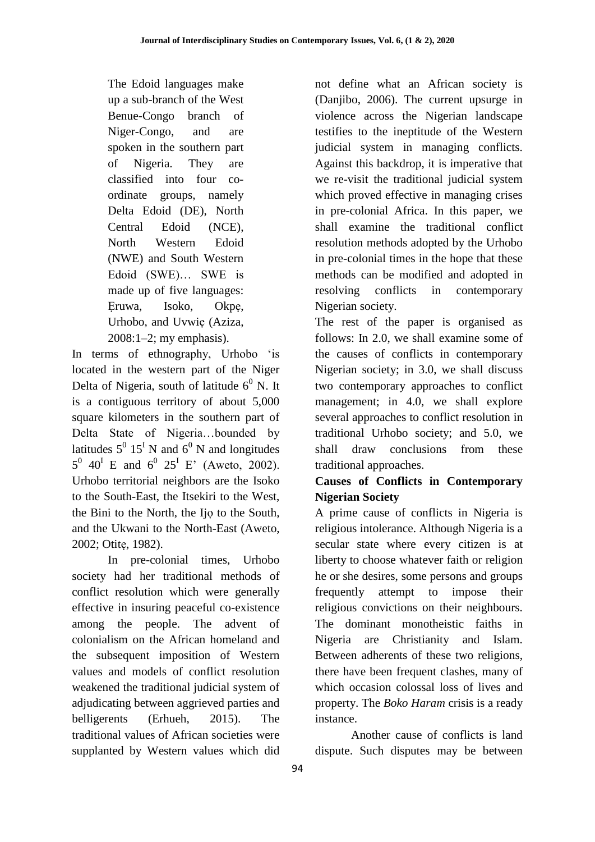The Edoid languages make up a sub-branch of the West Benue-Congo branch of Niger-Congo, and are spoken in the southern part of Nigeria. They are classified into four coordinate groups, namely Delta Edoid (DE), North Central Edoid (NCE), North Western Edoid (NWE) and South Western Edoid (SWE)… SWE is made up of five languages: Ẹruwa, Isoko, Okpẹ, Urhobo, and Uvwiẹ (Aziza, 2008:1–2; my emphasis).

In terms of ethnography, Urhobo 'is located in the western part of the Niger Delta of Nigeria, south of latitude  $6^0$  N. It is a contiguous territory of about 5,000 square kilometers in the southern part of Delta State of Nigeria…bounded by latitudes  $5^0$  15<sup>I</sup> N and 6<sup>0</sup> N and longitudes  $5^0$  40<sup>I</sup> E and  $6^0$  25<sup>I</sup> E' (Aweto, 2002). Urhobo territorial neighbors are the Isoko to the South-East, the Itsekiri to the West, the Bini to the North, the Ijọ to the South, and the Ukwani to the North-East (Aweto, 2002; Otitẹ, 1982).

In pre-colonial times, Urhobo society had her traditional methods of conflict resolution which were generally effective in insuring peaceful co-existence among the people. The advent of colonialism on the African homeland and the subsequent imposition of Western values and models of conflict resolution weakened the traditional judicial system of adjudicating between aggrieved parties and belligerents (Erhueh, 2015). The traditional values of African societies were supplanted by Western values which did

not define what an African society is (Danjibo, 2006). The current upsurge in violence across the Nigerian landscape testifies to the ineptitude of the Western judicial system in managing conflicts. Against this backdrop, it is imperative that we re-visit the traditional judicial system which proved effective in managing crises in pre-colonial Africa. In this paper, we shall examine the traditional conflict resolution methods adopted by the Urhobo in pre-colonial times in the hope that these methods can be modified and adopted in resolving conflicts in contemporary Nigerian society.

The rest of the paper is organised as follows: In 2.0, we shall examine some of the causes of conflicts in contemporary Nigerian society; in 3.0, we shall discuss two contemporary approaches to conflict management; in 4.0, we shall explore several approaches to conflict resolution in traditional Urhobo society; and 5.0, we shall draw conclusions from these traditional approaches.

# **Causes of Conflicts in Contemporary Nigerian Society**

A prime cause of conflicts in Nigeria is religious intolerance. Although Nigeria is a secular state where every citizen is at liberty to choose whatever faith or religion he or she desires, some persons and groups frequently attempt to impose their religious convictions on their neighbours. The dominant monotheistic faiths in Nigeria are Christianity and Islam. Between adherents of these two religions, there have been frequent clashes, many of which occasion colossal loss of lives and property. The *Boko Haram* crisis is a ready instance.

Another cause of conflicts is land dispute. Such disputes may be between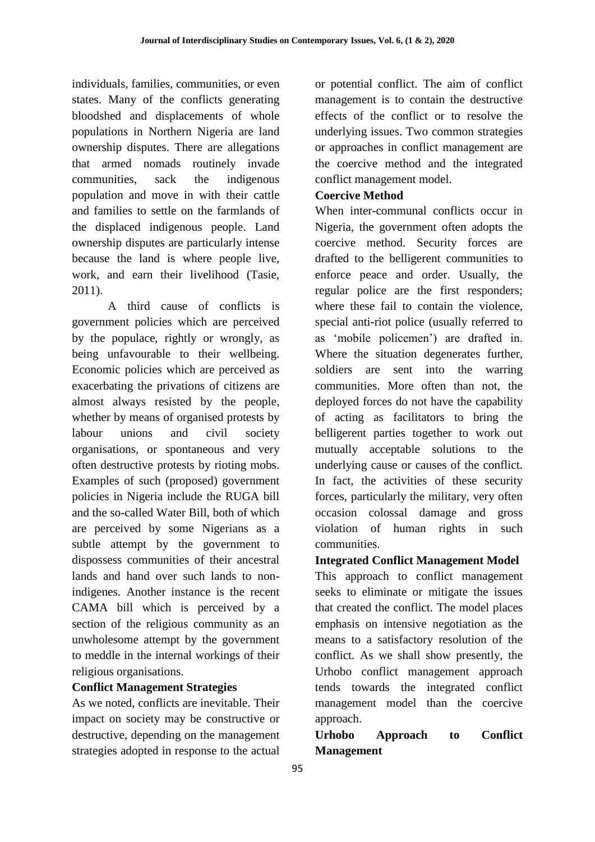individuals, families, communities, or even states. Many of the conflicts generating bloodshed and displacements of whole populations in Northern Nigeria are land ownership disputes. There are allegations that armed nomads routinely invade communities, sack the indigenous population and move in with their cattle and families to settle on the farmlands of the displaced indigenous people. Land ownership disputes are particularly intense because the land is where people live, work, and earn their livelihood (Tasie, 2011).

A third cause of conflicts is government policies which are perceived by the populace, rightly or wrongly, as being unfavourable to their wellbeing. Economic policies which are perceived as exacerbating the privations of citizens are almost always resisted by the people, whether by means of organised protests by labour unions and civil society organisations, or spontaneous and very often destructive protests by rioting mobs. Examples of such (proposed) government policies in Nigeria include the RUGA bill and the so-called Water Bill, both of which are perceived by some Nigerians as a subtle attempt by the government to dispossess communities of their ancestral lands and hand over such lands to nonindigenes. Another instance is the recent CAMA bill which is perceived by a section of the religious community as an unwholesome attempt by the government to meddle in the internal workings of their religious organisations.

## **Conflict Management Strategies**

As we noted, conflicts are inevitable. Their impact on society may be constructive or destructive, depending on the management strategies adopted in response to the actual or potential conflict. The aim of conflict management is to contain the destructive effects of the conflict or to resolve the underlying issues. Two common strategies or approaches in conflict management are the coercive method and the integrated conflict management model.

## **Coercive Method**

When inter-communal conflicts occur in Nigeria, the government often adopts the coercive method. Security forces are drafted to the belligerent communities to enforce peace and order. Usually, the regular police are the first responders; where these fail to contain the violence, special anti-riot police (usually referred to as 'mobile policemen') are drafted in. Where the situation degenerates further, soldiers are sent into the warring communities. More often than not, the deployed forces do not have the capability of acting as facilitators to bring the belligerent parties together to work out mutually acceptable solutions to the underlying cause or causes of the conflict. In fact, the activities of these security forces, particularly the military, very often occasion colossal damage and gross violation of human rights in such communities.

**Integrated Conflict Management Model** This approach to conflict management seeks to eliminate or mitigate the issues that created the conflict. The model places emphasis on intensive negotiation as the means to a satisfactory resolution of the conflict. As we shall show presently, the Urhobo conflict management approach tends towards the integrated conflict management model than the coercive approach.

**Urhobo Approach to Conflict Management**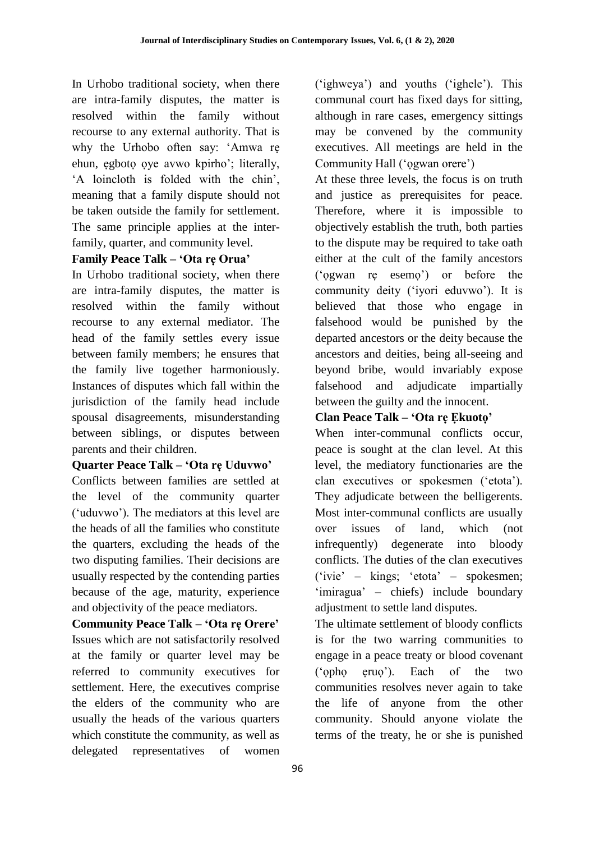In Urhobo traditional society, when there are intra-family disputes, the matter is resolved within the family without recourse to any external authority. That is why the Urhobo often say: 'Amwa rẹ ehun, ẹgbotọ ọye avwo kpirho'; literally, 'A loincloth is folded with the chin', meaning that a family dispute should not be taken outside the family for settlement. The same principle applies at the interfamily, quarter, and community level.

## **Family Peace Talk – 'Ota rẹ Orua'**

In Urhobo traditional society, when there are intra-family disputes, the matter is resolved within the family without recourse to any external mediator. The head of the family settles every issue between family members; he ensures that the family live together harmoniously. Instances of disputes which fall within the jurisdiction of the family head include spousal disagreements, misunderstanding between siblings, or disputes between parents and their children.

## **Quarter Peace Talk – 'Ota rẹ Uduvwo'**

Conflicts between families are settled at the level of the community quarter ('uduvwo'). The mediators at this level are the heads of all the families who constitute the quarters, excluding the heads of the two disputing families. Their decisions are usually respected by the contending parties because of the age, maturity, experience and objectivity of the peace mediators.

**Community Peace Talk – 'Ota rẹ Orere'**  Issues which are not satisfactorily resolved at the family or quarter level may be referred to community executives for settlement. Here, the executives comprise the elders of the community who are usually the heads of the various quarters which constitute the community, as well as delegated representatives of women ('ighweya') and youths ('ighele'). This communal court has fixed days for sitting, although in rare cases, emergency sittings may be convened by the community executives. All meetings are held in the Community Hall ('ọgwan orere')

At these three levels, the focus is on truth and justice as prerequisites for peace. Therefore, where it is impossible to objectively establish the truth, both parties to the dispute may be required to take oath either at the cult of the family ancestors ('ọgwan rẹ esemọ') or before the community deity ('iyori eduvwo'). It is believed that those who engage in falsehood would be punished by the departed ancestors or the deity because the ancestors and deities, being all-seeing and beyond bribe, would invariably expose falsehood and adjudicate impartially between the guilty and the innocent.

## **Clan Peace Talk – 'Ota rẹ Ẹkuotọ'**

When inter-communal conflicts occur, peace is sought at the clan level. At this level, the mediatory functionaries are the clan executives or spokesmen ('etota'). They adjudicate between the belligerents. Most inter-communal conflicts are usually over issues of land, which (not infrequently) degenerate into bloody conflicts. The duties of the clan executives ('ivie' – kings; 'etota' – spokesmen; 'imiragua' – chiefs) include boundary adjustment to settle land disputes.

The ultimate settlement of bloody conflicts is for the two warring communities to engage in a peace treaty or blood covenant ('ọphọ ẹruọ'). Each of the two communities resolves never again to take the life of anyone from the other community. Should anyone violate the terms of the treaty, he or she is punished